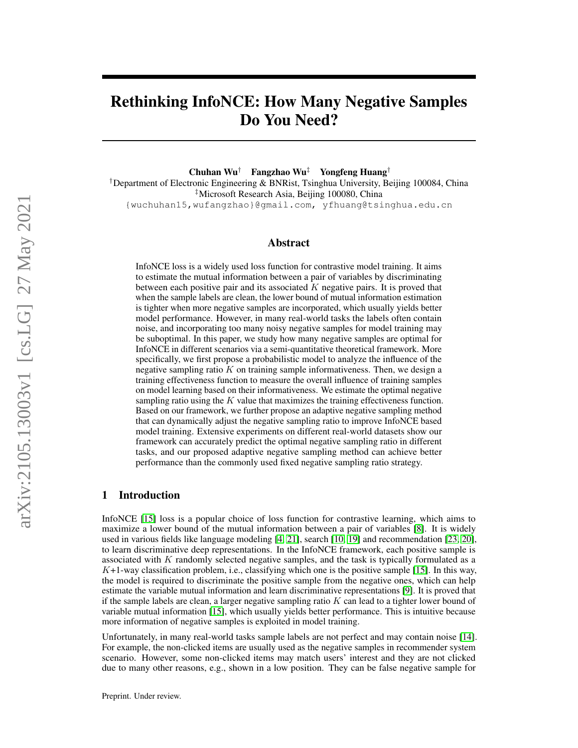# Rethinking InfoNCE: How Many Negative Samples Do You Need?

Chuhan Wu† Fangzhao Wu‡ Yongfeng Huang†

†Department of Electronic Engineering & BNRist, Tsinghua University, Beijing 100084, China ‡Microsoft Research Asia, Beijing 100080, China {wuchuhan15,wufangzhao}@gmail.com, yfhuang@tsinghua.edu.cn

### Abstract

InfoNCE loss is a widely used loss function for contrastive model training. It aims to estimate the mutual information between a pair of variables by discriminating between each positive pair and its associated  $K$  negative pairs. It is proved that when the sample labels are clean, the lower bound of mutual information estimation is tighter when more negative samples are incorporated, which usually yields better model performance. However, in many real-world tasks the labels often contain noise, and incorporating too many noisy negative samples for model training may be suboptimal. In this paper, we study how many negative samples are optimal for InfoNCE in different scenarios via a semi-quantitative theoretical framework. More specifically, we first propose a probabilistic model to analyze the influence of the negative sampling ratio  $K$  on training sample informativeness. Then, we design a training effectiveness function to measure the overall influence of training samples on model learning based on their informativeness. We estimate the optimal negative sampling ratio using the  $K$  value that maximizes the training effectiveness function. Based on our framework, we further propose an adaptive negative sampling method that can dynamically adjust the negative sampling ratio to improve InfoNCE based model training. Extensive experiments on different real-world datasets show our framework can accurately predict the optimal negative sampling ratio in different tasks, and our proposed adaptive negative sampling method can achieve better performance than the commonly used fixed negative sampling ratio strategy.

# 1 Introduction

InfoNCE [\[15\]](#page-9-0) loss is a popular choice of loss function for contrastive learning, which aims to maximize a lower bound of the mutual information between a pair of variables [\[8\]](#page-9-1). It is widely used in various fields like language modeling [\[4,](#page-9-2) [21\]](#page-10-0), search [\[10,](#page-9-3) [19\]](#page-9-4) and recommendation [\[23,](#page-10-1) [20\]](#page-10-2), to learn discriminative deep representations. In the InfoNCE framework, each positive sample is associated with  $K$  randomly selected negative samples, and the task is typically formulated as a  $K+1$ -way classification problem, i.e., classifying which one is the positive sample [\[15\]](#page-9-0). In this way, the model is required to discriminate the positive sample from the negative ones, which can help estimate the variable mutual information and learn discriminative representations [\[9\]](#page-9-5). It is proved that if the sample labels are clean, a larger negative sampling ratio  $K$  can lead to a tighter lower bound of variable mutual information [\[15\]](#page-9-0), which usually yields better performance. This is intuitive because more information of negative samples is exploited in model training.

Unfortunately, in many real-world tasks sample labels are not perfect and may contain noise [\[14\]](#page-9-6). For example, the non-clicked items are usually used as the negative samples in recommender system scenario. However, some non-clicked items may match users' interest and they are not clicked due to many other reasons, e.g., shown in a low position. They can be false negative sample for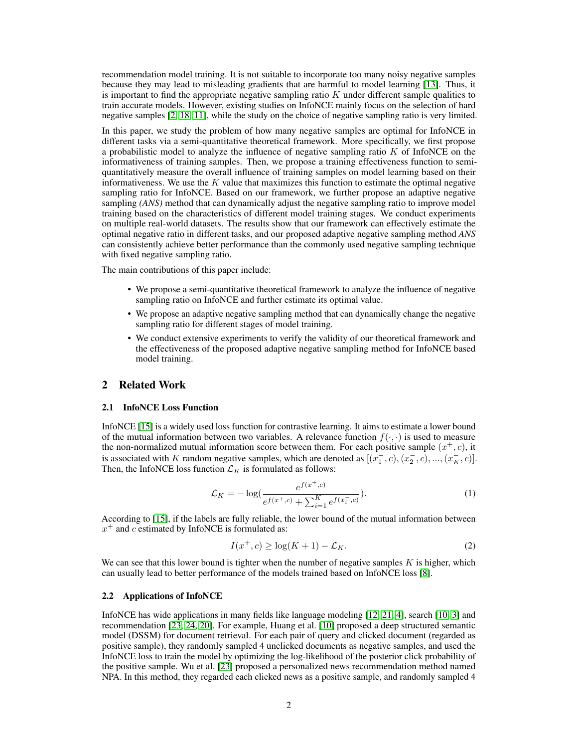recommendation model training. It is not suitable to incorporate too many noisy negative samples because they may lead to misleading gradients that are harmful to model learning [\[13\]](#page-9-7). Thus, it is important to find the appropriate negative sampling ratio  $K$  under different sample qualities to train accurate models. However, existing studies on InfoNCE mainly focus on the selection of hard negative samples [\[2,](#page-9-8) [18,](#page-9-9) [11\]](#page-9-10), while the study on the choice of negative sampling ratio is very limited.

In this paper, we study the problem of how many negative samples are optimal for InfoNCE in different tasks via a semi-quantitative theoretical framework. More specifically, we first propose a probabilistic model to analyze the influence of negative sampling ratio  $K$  of InfoNCE on the informativeness of training samples. Then, we propose a training effectiveness function to semiquantitatively measure the overall influence of training samples on model learning based on their informativeness. We use the  $K$  value that maximizes this function to estimate the optimal negative sampling ratio for InfoNCE. Based on our framework, we further propose an adaptive negative sampling *(ANS)* method that can dynamically adjust the negative sampling ratio to improve model training based on the characteristics of different model training stages. We conduct experiments on multiple real-world datasets. The results show that our framework can effectively estimate the optimal negative ratio in different tasks, and our proposed adaptive negative sampling method *ANS* can consistently achieve better performance than the commonly used negative sampling technique with fixed negative sampling ratio.

The main contributions of this paper include:

- We propose a semi-quantitative theoretical framework to analyze the influence of negative sampling ratio on InfoNCE and further estimate its optimal value.
- We propose an adaptive negative sampling method that can dynamically change the negative sampling ratio for different stages of model training.
- We conduct extensive experiments to verify the validity of our theoretical framework and the effectiveness of the proposed adaptive negative sampling method for InfoNCE based model training.

# 2 Related Work

### 2.1 InfoNCE Loss Function

InfoNCE [\[15\]](#page-9-0) is a widely used loss function for contrastive learning. It aims to estimate a lower bound of the mutual information between two variables. A relevance function  $f(\cdot, \cdot)$  is used to measure the non-normalized mutual information score between them. For each positive sample  $(x^+, c)$ , it is associated with K random negative samples, which are denoted as  $[(x_1^-, c), (x_2^-, c), ..., (x_K^-, c)].$ Then, the InfoNCE loss function  $\mathcal{L}_K$  is formulated as follows:

$$
\mathcal{L}_K = -\log\left(\frac{e^{f(x^+,c)}}{e^{f(x^+,c)} + \sum_{i=1}^K e^{f(x^-_i,c)}}\right).
$$
\n(1)

According to [\[15\]](#page-9-0), if the labels are fully reliable, the lower bound of the mutual information between  $x^{+}$  and c estimated by InfoNCE is formulated as:

$$
I(x^+,c) \ge \log(K+1) - \mathcal{L}_K. \tag{2}
$$

We can see that this lower bound is tighter when the number of negative samples  $K$  is higher, which can usually lead to better performance of the models trained based on InfoNCE loss [\[8\]](#page-9-1).

### 2.2 Applications of InfoNCE

InfoNCE has wide applications in many fields like language modeling [\[12,](#page-9-11) [21,](#page-10-0) [4\]](#page-9-2), search [\[10,](#page-9-3) [3\]](#page-9-12) and recommendation [\[23,](#page-10-1) [24,](#page-10-3) [20\]](#page-10-2). For example, Huang et al. [\[10\]](#page-9-3) proposed a deep structured semantic model (DSSM) for document retrieval. For each pair of query and clicked document (regarded as positive sample), they randomly sampled 4 unclicked documents as negative samples, and used the InfoNCE loss to train the model by optimizing the log-likelihood of the posterior click probability of the positive sample. Wu et al. [\[23\]](#page-10-1) proposed a personalized news recommendation method named NPA. In this method, they regarded each clicked news as a positive sample, and randomly sampled 4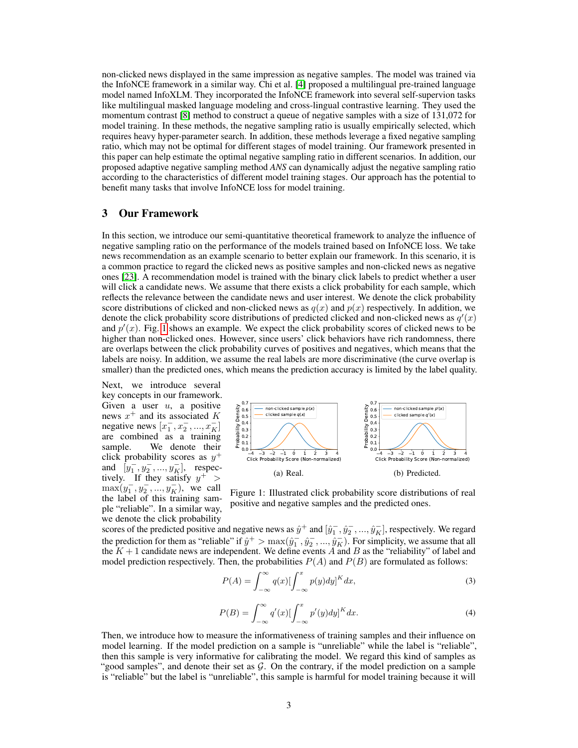non-clicked news displayed in the same impression as negative samples. The model was trained via the InfoNCE framework in a similar way. Chi et al. [\[4\]](#page-9-2) proposed a multilingual pre-trained language model named InfoXLM. They incorporated the InfoNCE framework into several self-supervion tasks like multilingual masked language modeling and cross-lingual contrastive learning. They used the momentum contrast [\[8\]](#page-9-1) method to construct a queue of negative samples with a size of 131,072 for model training. In these methods, the negative sampling ratio is usually empirically selected, which requires heavy hyper-parameter search. In addition, these methods leverage a fixed negative sampling ratio, which may not be optimal for different stages of model training. Our framework presented in this paper can help estimate the optimal negative sampling ratio in different scenarios. In addition, our proposed adaptive negative sampling method *ANS* can dynamically adjust the negative sampling ratio according to the characteristics of different model training stages. Our approach has the potential to benefit many tasks that involve InfoNCE loss for model training.

# 3 Our Framework

In this section, we introduce our semi-quantitative theoretical framework to analyze the influence of negative sampling ratio on the performance of the models trained based on InfoNCE loss. We take news recommendation as an example scenario to better explain our framework. In this scenario, it is a common practice to regard the clicked news as positive samples and non-clicked news as negative ones [\[23\]](#page-10-1). A recommendation model is trained with the binary click labels to predict whether a user will click a candidate news. We assume that there exists a click probability for each sample, which reflects the relevance between the candidate news and user interest. We denote the click probability score distributions of clicked and non-clicked news as  $q(x)$  and  $p(x)$  respectively. In addition, we denote the click probability score distributions of predicted clicked and non-clicked news as  $q'(x)$ and  $p'(x)$ . Fig. [1](#page-2-0) shows an example. We expect the click probability scores of clicked news to be higher than non-clicked ones. However, since users' click behaviors have rich randomness, there are overlaps between the click probability curves of positives and negatives, which means that the labels are noisy. In addition, we assume the real labels are more discriminative (the curve overlap is smaller) than the predicted ones, which means the prediction accuracy is limited by the label quality.

Next, we introduce several key concepts in our framework. Given a user  $u$ , a positive news  $x^+$  and its associated K negative news  $[x_1^-, x_2^-, ..., x_K^-]$ are combined as a training sample. We denote their click probability scores as  $y^+$ and  $[y_1^-, y_2^-, ..., y_K^-]$ , respectively. If they satisfy  $y^+$  >  $\max(y_1^-, y_2^-, ..., y_K^-)$ , we call the label of this training sample "reliable". In a similar way, we denote the click probability



<span id="page-2-0"></span>Figure 1: Illustrated click probability score distributions of real positive and negative samples and the predicted ones.

scores of the predicted positive and negative news as  $\hat{y}^+$  and  $[\hat{y}_1^-, \hat{y}_2^-, ..., \hat{y}_K^-]$ , respectively. We regard the prediction for them as "reliable" if  $\hat{y}^+ > \max(\hat{y}_1^-, \hat{y}_2^-, ..., \hat{y}_K^-)$ . For simplicity, we assume that all the  $K + 1$  candidate news are independent. We define events A and B as the "reliability" of label and model prediction respectively. Then, the probabilities  $P(A)$  and  $P(B)$  are formulated as follows:

$$
P(A) = \int_{-\infty}^{\infty} q(x) \left[ \int_{-\infty}^{x} p(y) dy \right]^K dx,
$$
\n(3)

$$
P(B) = \int_{-\infty}^{\infty} q'(x) \left[ \int_{-\infty}^{x} p'(y) dy \right]^K dx.
$$
 (4)

Then, we introduce how to measure the informativeness of training samples and their influence on model learning. If the model prediction on a sample is "unreliable" while the label is "reliable", then this sample is very informative for calibrating the model. We regard this kind of samples as "good samples", and denote their set as  $G$ . On the contrary, if the model prediction on a sample is "reliable" but the label is "unreliable", this sample is harmful for model training because it will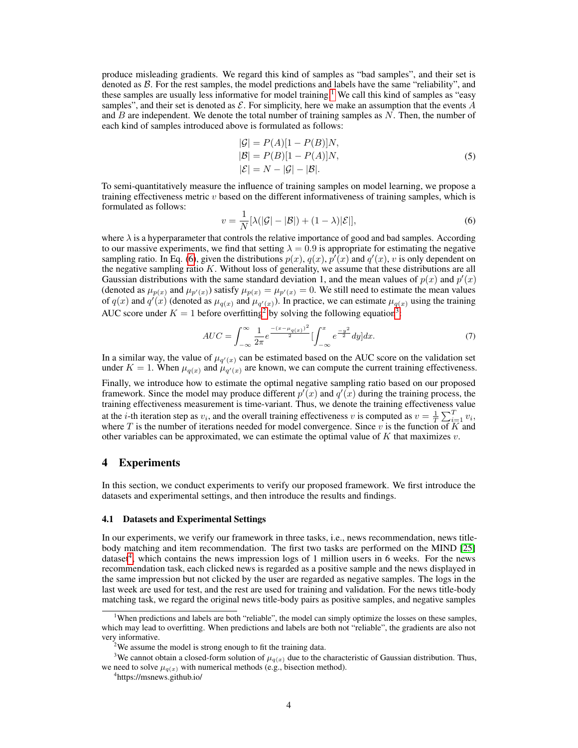produce misleading gradients. We regard this kind of samples as "bad samples", and their set is denoted as  $\beta$ . For the rest samples, the model predictions and labels have the same "reliability", and these samples are usually less informative for model training.<sup>[1](#page-3-0)</sup> We call this kind of samples as "easy" samples", and their set is denoted as  $\mathcal E$ . For simplicity, here we make an assumption that the events  $A$ and  $B$  are independent. We denote the total number of training samples as  $N$ . Then, the number of each kind of samples introduced above is formulated as follows:

$$
|G| = P(A)[1 - P(B)]N,|B| = P(B)[1 - P(A)]N,|\mathcal{E}| = N - |G| - |B|.
$$
 (5)

To semi-quantitatively measure the influence of training samples on model learning, we propose a training effectiveness metric  $v$  based on the different informativeness of training samples, which is formulated as follows:

<span id="page-3-1"></span>
$$
v = \frac{1}{N} [\lambda(|\mathcal{G}| - |\mathcal{B}|) + (1 - \lambda)|\mathcal{E}|],\tag{6}
$$

where  $\lambda$  is a hyperparameter that controls the relative importance of good and bad samples. According to our massive experiments, we find that setting  $\lambda = 0.9$  is appropriate for estimating the negative sampling ratio. In Eq. [\(6\)](#page-3-1), given the distributions  $p(x)$ ,  $q(x)$ ,  $p'(x)$  and  $q'(x)$ , v is only dependent on the negative sampling ratio K. Without loss of generality, we assume that these distributions are all Gaussian distributions with the same standard deviation 1, and the mean values of  $p(x)$  and  $p'(x)$ (denoted as  $\mu_{p(x)}$  and  $\mu_{p'(x)}$ ) satisfy  $\mu_{p(x)} = \mu_{p'(x)} = 0$ . We still need to estimate the mean values of  $q(x)$  and  $q'(x)$  (denoted as  $\mu_{q(x)}$  and  $\mu_{q'(x)}$ ). In practice, we can estimate  $\mu_{q(x)}$  using the training AUC score under  $K = 1$  before overfitting<sup>[2](#page-3-2)</sup> by solving the following equation<sup>[3](#page-3-3)</sup>:

$$
AUC = \int_{-\infty}^{\infty} \frac{1}{2\pi} e^{\frac{-(x-\mu_{q(x)})^2}{2}} \left[ \int_{-\infty}^{x} e^{\frac{-y^2}{2}} dy \right] dx.
$$
 (7)

In a similar way, the value of  $\mu_{q'(x)}$  can be estimated based on the AUC score on the validation set under  $K = 1$ . When  $\mu_{q(x)}$  and  $\mu_{q'(x)}$  are known, we can compute the current training effectiveness.

Finally, we introduce how to estimate the optimal negative sampling ratio based on our proposed framework. Since the model may produce different  $p'(x)$  and  $q'(x)$  during the training process, the training effectiveness measurement is time-variant. Thus, we denote the training effectiveness value at the *i*-th iteration step as  $v_i$ , and the overall training effectiveness v is computed as  $v = \frac{1}{T} \sum_{i=1}^{T} v_i$ , where T is the number of iterations needed for model convergence. Since v is the function of  $\overline{K}$  and other variables can be approximated, we can estimate the optimal value of  $K$  that maximizes  $v$ .

# 4 Experiments

In this section, we conduct experiments to verify our proposed framework. We first introduce the datasets and experimental settings, and then introduce the results and findings.

### 4.1 Datasets and Experimental Settings

In our experiments, we verify our framework in three tasks, i.e., news recommendation, news titlebody matching and item recommendation. The first two tasks are performed on the MIND [\[25\]](#page-10-4) dataset<sup>[4](#page-3-4)</sup>, which contains the news impression logs of 1 million users in 6 weeks. For the news recommendation task, each clicked news is regarded as a positive sample and the news displayed in the same impression but not clicked by the user are regarded as negative samples. The logs in the last week are used for test, and the rest are used for training and validation. For the news title-body matching task, we regard the original news title-body pairs as positive samples, and negative samples

<span id="page-3-0"></span><sup>1</sup>When predictions and labels are both "reliable", the model can simply optimize the losses on these samples, which may lead to overfitting. When predictions and labels are both not "reliable", the gradients are also not very informative.

<span id="page-3-3"></span><span id="page-3-2"></span> $2$ We assume the model is strong enough to fit the training data.

<sup>&</sup>lt;sup>3</sup>We cannot obtain a closed-form solution of  $\mu_{q(x)}$  due to the characteristic of Gaussian distribution. Thus, we need to solve  $\mu_{q(x)}$  with numerical methods (e.g., bisection method).

<span id="page-3-4"></span><sup>4</sup> https://msnews.github.io/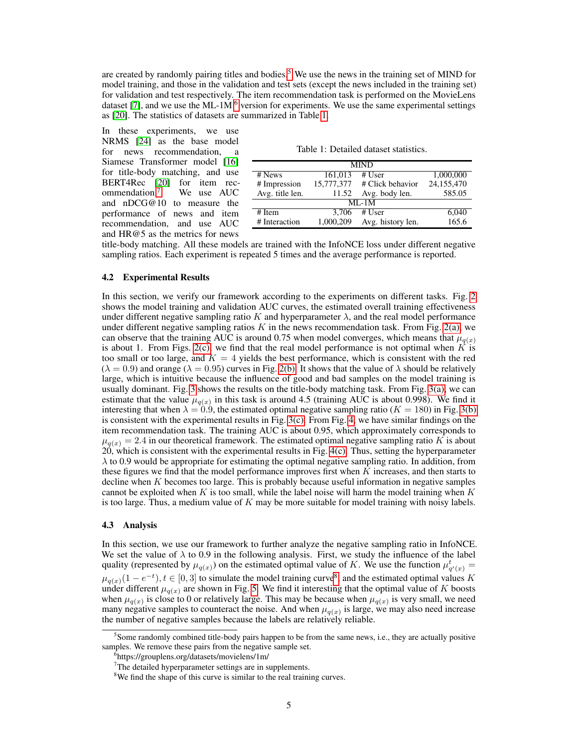are created by randomly pairing titles and bodies.<sup>[5](#page-4-0)</sup> We use the news in the training set of MIND for model training, and those in the validation and test sets (except the news included in the training set) for validation and test respectively. The item recommendation task is performed on the MovieLens dataset [\[7\]](#page-9-13), and we use the ML-1M  $<sup>6</sup>$  $<sup>6</sup>$  $<sup>6</sup>$  version for experiments. We use the same experimental settings</sup> as [\[20\]](#page-10-2). The statistics of datasets are summarized in Table [1.](#page-4-2)

In these experiments, we use NRMS [\[24\]](#page-10-3) as the base model for news recommendation, Siamese Transformer model [\[16\]](#page-9-14) for title-body matching, and use BERT4Rec [\[20\]](#page-10-2) for item rec-<br>ommendation.<sup>7</sup> We use AUC ommendation.<sup>[7](#page-4-3)</sup> and nDCG@10 to measure the performance of news and item recommendation, and use AUC and HR@5 as the metrics for news

Table 1: Detailed dataset statistics.

<span id="page-4-2"></span>

| <b>MIND</b>     |           |                             |            |  |  |  |  |  |  |
|-----------------|-----------|-----------------------------|------------|--|--|--|--|--|--|
| # News          | 161,013   | # $User$                    | 1,000,000  |  |  |  |  |  |  |
| # Impression    |           | 15,777,377 # Click behavior | 24,155,470 |  |  |  |  |  |  |
| Avg. title len. | 11.52     | Avg. body len.              | 585.05     |  |  |  |  |  |  |
| $MI - 1M$       |           |                             |            |  |  |  |  |  |  |
| # Item          | 3.706     | # $User$                    | 6,040      |  |  |  |  |  |  |
| # Interaction   | 1.000.209 | Avg. history len.           | 165.6      |  |  |  |  |  |  |

title-body matching. All these models are trained with the InfoNCE loss under different negative sampling ratios. Each experiment is repeated 5 times and the average performance is reported.

### 4.2 Experimental Results

In this section, we verify our framework according to the experiments on different tasks. Fig. [2](#page-5-0) shows the model training and validation AUC curves, the estimated overall training effectiveness under different negative sampling ratio K and hyperparameter  $\lambda$ , and the real model performance under different negative sampling ratios  $K$  in the news recommendation task. From Fig. [2\(a\),](#page-5-1) we can observe that the training AUC is around 0.75 when model converges, which means that  $\mu_{q(x)}$ is about 1. From Figs. [2\(c\),](#page-5-2) we find that the real model performance is not optimal when  $\overline{K}$  is too small or too large, and  $K = 4$  yields the best performance, which is consistent with the red  $(\lambda = 0.9)$  and orange  $(\lambda = 0.95)$  curves in Fig. [2\(b\).](#page-5-3) It shows that the value of  $\lambda$  should be relatively large, which is intuitive because the influence of good and bad samples on the model training is usually dominant. Fig. [3](#page-5-4) shows the results on the title-body matching task. From Fig. [3\(a\),](#page-5-5) we can estimate that the value  $\mu_{q(x)}$  in this task is around 4.5 (training AUC is about 0.998). We find it interesting that when  $\lambda = 0.9$ , the estimated optimal negative sampling ratio ( $K = 180$ ) in Fig. [3\(b\)](#page-5-6) is consistent with the experimental results in Fig.  $3(c)$ . From Fig. [4,](#page-5-8) we have similar findings on the item recommendation task. The training AUC is about 0.95, which approximately corresponds to  $\mu_{q(x)} = 2.4$  in our theoretical framework. The estimated optimal negative sampling ratio K is about  $20$ , which is consistent with the experimental results in Fig.  $4(c)$ . Thus, setting the hyperparameter  $\lambda$  to 0.9 would be appropriate for estimating the optimal negative sampling ratio. In addition, from these figures we find that the model performance improves first when  $K$  increases, and then starts to decline when  $K$  becomes too large. This is probably because useful information in negative samples cannot be exploited when K is too small, while the label noise will harm the model training when K is too large. Thus, a medium value of  $K$  may be more suitable for model training with noisy labels.

#### 4.3 Analysis

In this section, we use our framework to further analyze the negative sampling ratio in InfoNCE. We set the value of  $\lambda$  to 0.9 in the following analysis. First, we study the influence of the label quality (represented by  $\mu_{q(x)}$ ) on the estimated optimal value of K. We use the function  $\mu_{q'(x)}^t =$  $\mu_{q(x)}(1-e^{-t}), t \in [0,3]$  to simulate the model training curve<sup>[8](#page-4-4)</sup>, and the estimated optimal values K under different  $\mu_{q(x)}$  are shown in Fig. [5.](#page-6-0) We find it interesting that the optimal value of K boosts when  $\mu_{q(x)}$  is close to 0 or relatively large. This may be because when  $\mu_{q(x)}$  is very small, we need many negative samples to counteract the noise. And when  $\mu_{q(x)}$  is large, we may also need increase the number of negative samples because the labels are relatively reliable.

<span id="page-4-0"></span><sup>&</sup>lt;sup>5</sup> Some randomly combined title-body pairs happen to be from the same news, i.e., they are actually positive samples. We remove these pairs from the negative sample set.

<span id="page-4-1"></span><sup>6</sup> https://grouplens.org/datasets/movielens/1m/

<span id="page-4-3"></span><sup>&</sup>lt;sup>7</sup>The detailed hyperparameter settings are in supplements.

<span id="page-4-4"></span><sup>&</sup>lt;sup>8</sup>We find the shape of this curve is similar to the real training curves.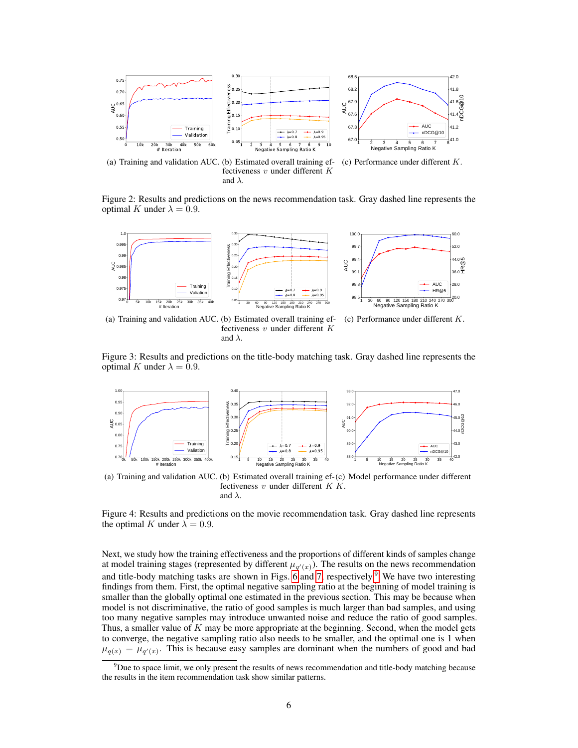<span id="page-5-1"></span>

Figure 2: Results and predictions on the news recommendation task. Gray dashed line represents the optimal K under  $\lambda = 0.9$ .

<span id="page-5-5"></span>

<span id="page-5-6"></span>fectiveness v under different K and  $\lambda$ .

<span id="page-5-7"></span><span id="page-5-4"></span><span id="page-5-3"></span><span id="page-5-2"></span><span id="page-5-0"></span>and  $\lambda$ .

Figure 3: Results and predictions on the title-body matching task. Gray dashed line represents the optimal K under  $\lambda = 0.9$ .



<span id="page-5-9"></span><span id="page-5-8"></span>(a) Training and validation AUC. (b) Estimated overall training ef-(c) Model performance under different fectiveness  $v$  under different  $K$   $K$ . and  $\lambda$ .

Figure 4: Results and predictions on the movie recommendation task. Gray dashed line represents the optimal K under  $\lambda = 0.9$ .

Next, we study how the training effectiveness and the proportions of different kinds of samples change at model training stages (represented by different  $\mu_{q'(x)}$ ). The results on the news recommendation and title-body matching tasks are shown in Figs. [6](#page-6-1) and [7,](#page-6-2) respectively.<sup>[9](#page-5-10)</sup> We have two interesting findings from them. First, the optimal negative sampling ratio at the beginning of model training is smaller than the globally optimal one estimated in the previous section. This may be because when model is not discriminative, the ratio of good samples is much larger than bad samples, and using too many negative samples may introduce unwanted noise and reduce the ratio of good samples. Thus, a smaller value of  $K$  may be more appropriate at the beginning. Second, when the model gets to converge, the negative sampling ratio also needs to be smaller, and the optimal one is 1 when  $\mu_{q(x)} = \mu_{q'(x)}$ . This is because easy samples are dominant when the numbers of good and bad

<span id="page-5-10"></span> $9$ Due to space limit, we only present the results of news recommendation and title-body matching because the results in the item recommendation task show similar patterns.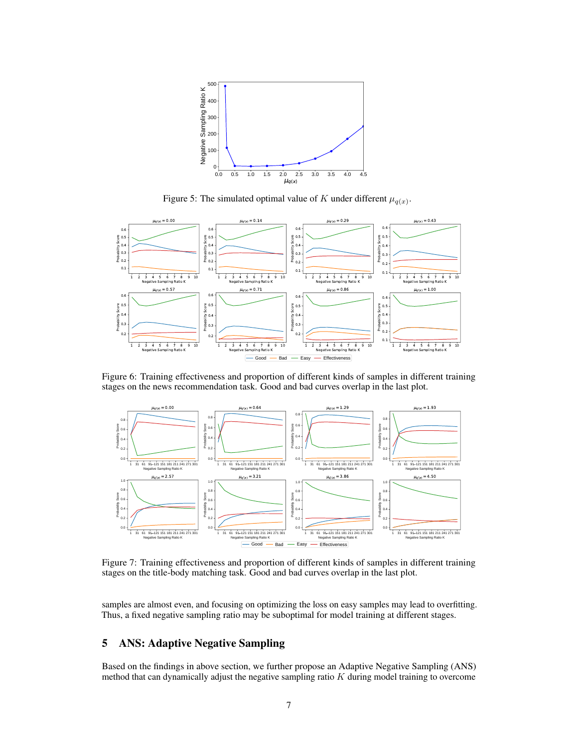

<span id="page-6-1"></span><span id="page-6-0"></span>Figure 5: The simulated optimal value of K under different  $\mu_{q(x)}$ .



Figure 6: Training effectiveness and proportion of different kinds of samples in different training stages on the news recommendation task. Good and bad curves overlap in the last plot.



<span id="page-6-2"></span>Figure 7: Training effectiveness and proportion of different kinds of samples in different training stages on the title-body matching task. Good and bad curves overlap in the last plot.

samples are almost even, and focusing on optimizing the loss on easy samples may lead to overfitting. Thus, a fixed negative sampling ratio may be suboptimal for model training at different stages.

# 5 ANS: Adaptive Negative Sampling

Based on the findings in above section, we further propose an Adaptive Negative Sampling (ANS) method that can dynamically adjust the negative sampling ratio  $K$  during model training to overcome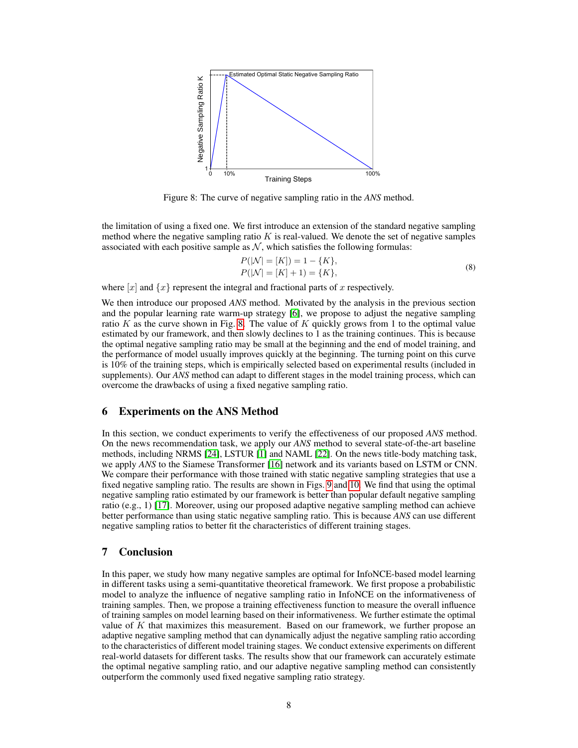

Figure 8: The curve of negative sampling ratio in the *ANS* method.

the limitation of using a fixed one. We first introduce an extension of the standard negative sampling method where the negative sampling ratio  $K$  is real-valued. We denote the set of negative samples associated with each positive sample as  $N$ , which satisfies the following formulas:

<span id="page-7-0"></span>
$$
P(|\mathcal{N}| = [K]) = 1 - \{K\},
$$
  
\n
$$
P(|\mathcal{N}| = [K] + 1) = \{K\},
$$
\n(8)

where  $[x]$  and  $\{x\}$  represent the integral and fractional parts of x respectively.

We then introduce our proposed *ANS* method. Motivated by the analysis in the previous section and the popular learning rate warm-up strategy [\[6\]](#page-9-15), we propose to adjust the negative sampling ratio K as the curve shown in Fig. [8.](#page-7-0) The value of K quickly grows from 1 to the optimal value estimated by our framework, and then slowly declines to 1 as the training continues. This is because the optimal negative sampling ratio may be small at the beginning and the end of model training, and the performance of model usually improves quickly at the beginning. The turning point on this curve is 10% of the training steps, which is empirically selected based on experimental results (included in supplements). Our *ANS* method can adapt to different stages in the model training process, which can overcome the drawbacks of using a fixed negative sampling ratio.

### 6 Experiments on the ANS Method

In this section, we conduct experiments to verify the effectiveness of our proposed *ANS* method. On the news recommendation task, we apply our *ANS* method to several state-of-the-art baseline methods, including NRMS [\[24\]](#page-10-3), LSTUR [\[1\]](#page-9-16) and NAML [\[22\]](#page-10-5). On the news title-body matching task, we apply *ANS* to the Siamese Transformer [\[16\]](#page-9-14) network and its variants based on LSTM or CNN. We compare their performance with those trained with static negative sampling strategies that use a fixed negative sampling ratio. The results are shown in Figs. [9](#page-8-0) and [10.](#page-8-1) We find that using the optimal negative sampling ratio estimated by our framework is better than popular default negative sampling ratio (e.g., 1) [\[17\]](#page-9-17). Moreover, using our proposed adaptive negative sampling method can achieve better performance than using static negative sampling ratio. This is because *ANS* can use different negative sampling ratios to better fit the characteristics of different training stages.

# 7 Conclusion

In this paper, we study how many negative samples are optimal for InfoNCE-based model learning in different tasks using a semi-quantitative theoretical framework. We first propose a probabilistic model to analyze the influence of negative sampling ratio in InfoNCE on the informativeness of training samples. Then, we propose a training effectiveness function to measure the overall influence of training samples on model learning based on their informativeness. We further estimate the optimal value of  $K$  that maximizes this measurement. Based on our framework, we further propose an adaptive negative sampling method that can dynamically adjust the negative sampling ratio according to the characteristics of different model training stages. We conduct extensive experiments on different real-world datasets for different tasks. The results show that our framework can accurately estimate the optimal negative sampling ratio, and our adaptive negative sampling method can consistently outperform the commonly used fixed negative sampling ratio strategy.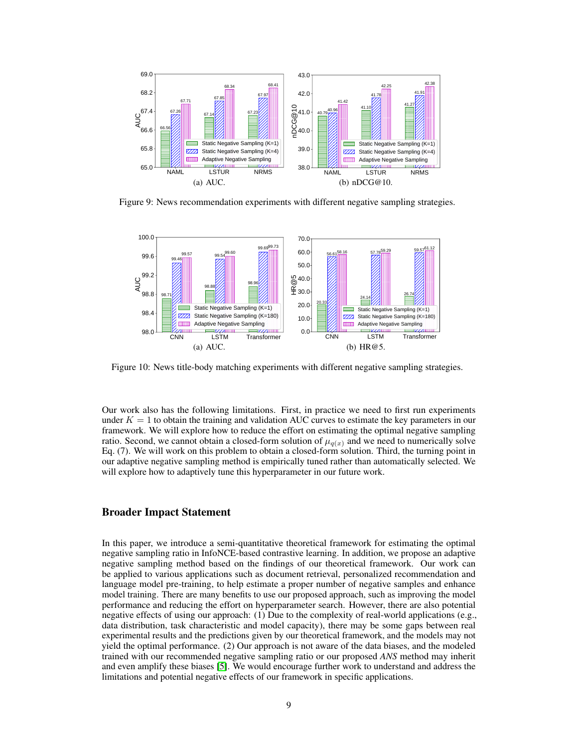

<span id="page-8-0"></span>Figure 9: News recommendation experiments with different negative sampling strategies.



<span id="page-8-1"></span>Figure 10: News title-body matching experiments with different negative sampling strategies.

Our work also has the following limitations. First, in practice we need to first run experiments under  $K = 1$  to obtain the training and validation AUC curves to estimate the key parameters in our framework. We will explore how to reduce the effort on estimating the optimal negative sampling ratio. Second, we cannot obtain a closed-form solution of  $\mu_{q(x)}$  and we need to numerically solve Eq. (7). We will work on this problem to obtain a closed-form solution. Third, the turning point in our adaptive negative sampling method is empirically tuned rather than automatically selected. We will explore how to adaptively tune this hyperparameter in our future work.

### Broader Impact Statement

In this paper, we introduce a semi-quantitative theoretical framework for estimating the optimal negative sampling ratio in InfoNCE-based contrastive learning. In addition, we propose an adaptive negative sampling method based on the findings of our theoretical framework. Our work can be applied to various applications such as document retrieval, personalized recommendation and language model pre-training, to help estimate a proper number of negative samples and enhance model training. There are many benefits to use our proposed approach, such as improving the model performance and reducing the effort on hyperparameter search. However, there are also potential negative effects of using our approach: (1) Due to the complexity of real-world applications (e.g., data distribution, task characteristic and model capacity), there may be some gaps between real experimental results and the predictions given by our theoretical framework, and the models may not yield the optimal performance. (2) Our approach is not aware of the data biases, and the modeled trained with our recommended negative sampling ratio or our proposed *ANS* method may inherit and even amplify these biases [\[5\]](#page-9-18). We would encourage further work to understand and address the limitations and potential negative effects of our framework in specific applications.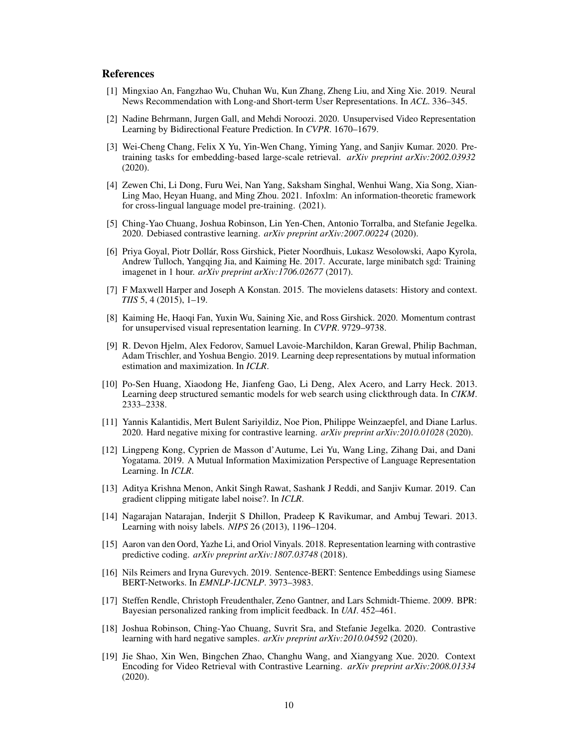### References

- <span id="page-9-16"></span>[1] Mingxiao An, Fangzhao Wu, Chuhan Wu, Kun Zhang, Zheng Liu, and Xing Xie. 2019. Neural News Recommendation with Long-and Short-term User Representations. In *ACL*. 336–345.
- <span id="page-9-8"></span>[2] Nadine Behrmann, Jurgen Gall, and Mehdi Noroozi. 2020. Unsupervised Video Representation Learning by Bidirectional Feature Prediction. In *CVPR*. 1670–1679.
- <span id="page-9-12"></span>[3] Wei-Cheng Chang, Felix X Yu, Yin-Wen Chang, Yiming Yang, and Sanjiv Kumar. 2020. Pretraining tasks for embedding-based large-scale retrieval. *arXiv preprint arXiv:2002.03932* (2020).
- <span id="page-9-2"></span>[4] Zewen Chi, Li Dong, Furu Wei, Nan Yang, Saksham Singhal, Wenhui Wang, Xia Song, Xian-Ling Mao, Heyan Huang, and Ming Zhou. 2021. Infoxlm: An information-theoretic framework for cross-lingual language model pre-training. (2021).
- <span id="page-9-18"></span>[5] Ching-Yao Chuang, Joshua Robinson, Lin Yen-Chen, Antonio Torralba, and Stefanie Jegelka. 2020. Debiased contrastive learning. *arXiv preprint arXiv:2007.00224* (2020).
- <span id="page-9-15"></span>[6] Priya Goyal, Piotr Dollár, Ross Girshick, Pieter Noordhuis, Lukasz Wesolowski, Aapo Kyrola, Andrew Tulloch, Yangqing Jia, and Kaiming He. 2017. Accurate, large minibatch sgd: Training imagenet in 1 hour. *arXiv preprint arXiv:1706.02677* (2017).
- <span id="page-9-13"></span>[7] F Maxwell Harper and Joseph A Konstan. 2015. The movielens datasets: History and context. *TIIS* 5, 4 (2015), 1–19.
- <span id="page-9-1"></span>[8] Kaiming He, Haoqi Fan, Yuxin Wu, Saining Xie, and Ross Girshick. 2020. Momentum contrast for unsupervised visual representation learning. In *CVPR*. 9729–9738.
- <span id="page-9-5"></span>[9] R. Devon Hjelm, Alex Fedorov, Samuel Lavoie-Marchildon, Karan Grewal, Philip Bachman, Adam Trischler, and Yoshua Bengio. 2019. Learning deep representations by mutual information estimation and maximization. In *ICLR*.
- <span id="page-9-3"></span>[10] Po-Sen Huang, Xiaodong He, Jianfeng Gao, Li Deng, Alex Acero, and Larry Heck. 2013. Learning deep structured semantic models for web search using clickthrough data. In *CIKM*. 2333–2338.
- <span id="page-9-10"></span>[11] Yannis Kalantidis, Mert Bulent Sariyildiz, Noe Pion, Philippe Weinzaepfel, and Diane Larlus. 2020. Hard negative mixing for contrastive learning. *arXiv preprint arXiv:2010.01028* (2020).
- <span id="page-9-11"></span>[12] Lingpeng Kong, Cyprien de Masson d'Autume, Lei Yu, Wang Ling, Zihang Dai, and Dani Yogatama. 2019. A Mutual Information Maximization Perspective of Language Representation Learning. In *ICLR*.
- <span id="page-9-7"></span>[13] Aditya Krishna Menon, Ankit Singh Rawat, Sashank J Reddi, and Sanjiv Kumar. 2019. Can gradient clipping mitigate label noise?. In *ICLR*.
- <span id="page-9-6"></span>[14] Nagarajan Natarajan, Inderjit S Dhillon, Pradeep K Ravikumar, and Ambuj Tewari. 2013. Learning with noisy labels. *NIPS* 26 (2013), 1196–1204.
- <span id="page-9-0"></span>[15] Aaron van den Oord, Yazhe Li, and Oriol Vinyals. 2018. Representation learning with contrastive predictive coding. *arXiv preprint arXiv:1807.03748* (2018).
- <span id="page-9-14"></span>[16] Nils Reimers and Iryna Gurevych. 2019. Sentence-BERT: Sentence Embeddings using Siamese BERT-Networks. In *EMNLP-IJCNLP*. 3973–3983.
- <span id="page-9-17"></span>[17] Steffen Rendle, Christoph Freudenthaler, Zeno Gantner, and Lars Schmidt-Thieme. 2009. BPR: Bayesian personalized ranking from implicit feedback. In *UAI*. 452–461.
- <span id="page-9-9"></span>[18] Joshua Robinson, Ching-Yao Chuang, Suvrit Sra, and Stefanie Jegelka. 2020. Contrastive learning with hard negative samples. *arXiv preprint arXiv:2010.04592* (2020).
- <span id="page-9-4"></span>[19] Jie Shao, Xin Wen, Bingchen Zhao, Changhu Wang, and Xiangyang Xue. 2020. Context Encoding for Video Retrieval with Contrastive Learning. *arXiv preprint arXiv:2008.01334* (2020).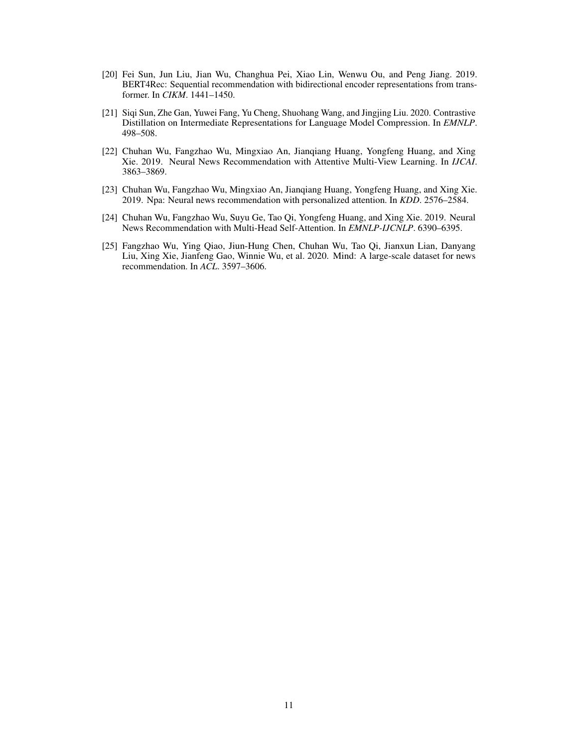- <span id="page-10-2"></span>[20] Fei Sun, Jun Liu, Jian Wu, Changhua Pei, Xiao Lin, Wenwu Ou, and Peng Jiang. 2019. BERT4Rec: Sequential recommendation with bidirectional encoder representations from transformer. In *CIKM*. 1441–1450.
- <span id="page-10-0"></span>[21] Siqi Sun, Zhe Gan, Yuwei Fang, Yu Cheng, Shuohang Wang, and Jingjing Liu. 2020. Contrastive Distillation on Intermediate Representations for Language Model Compression. In *EMNLP*. 498–508.
- <span id="page-10-5"></span>[22] Chuhan Wu, Fangzhao Wu, Mingxiao An, Jianqiang Huang, Yongfeng Huang, and Xing Xie. 2019. Neural News Recommendation with Attentive Multi-View Learning. In *IJCAI*. 3863–3869.
- <span id="page-10-1"></span>[23] Chuhan Wu, Fangzhao Wu, Mingxiao An, Jianqiang Huang, Yongfeng Huang, and Xing Xie. 2019. Npa: Neural news recommendation with personalized attention. In *KDD*. 2576–2584.
- <span id="page-10-3"></span>[24] Chuhan Wu, Fangzhao Wu, Suyu Ge, Tao Qi, Yongfeng Huang, and Xing Xie. 2019. Neural News Recommendation with Multi-Head Self-Attention. In *EMNLP-IJCNLP*. 6390–6395.
- <span id="page-10-4"></span>[25] Fangzhao Wu, Ying Qiao, Jiun-Hung Chen, Chuhan Wu, Tao Qi, Jianxun Lian, Danyang Liu, Xing Xie, Jianfeng Gao, Winnie Wu, et al. 2020. Mind: A large-scale dataset for news recommendation. In *ACL*. 3597–3606.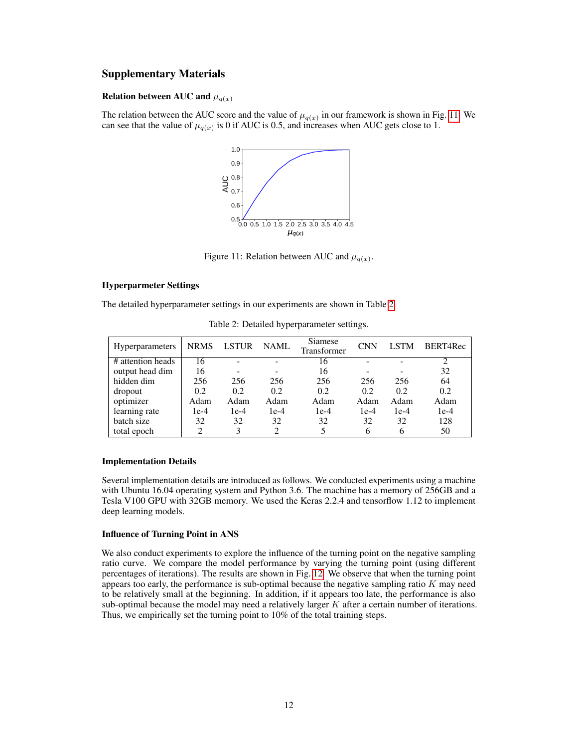# Supplementary Materials

### Relation between AUC and  $\mu_{q(x)}$

The relation between the AUC score and the value of  $\mu_{q(x)}$  in our framework is shown in Fig. [11.](#page-11-0) We can see that the value of  $\mu_{q(x)}$  is 0 if AUC is 0.5, and increases when AUC gets close to 1.



<span id="page-11-0"></span>Figure 11: Relation between AUC and  $\mu_{q(x)}$ .

# Hyperparmeter Settings

The detailed hyperparameter settings in our experiments are shown in Table [2.](#page-11-1)

<span id="page-11-1"></span>

| <b>Hyperparameters</b> | <b>NRMS</b> | <b>LSTUR</b> | <b>NAML</b> | Siamese<br>Transformer | <b>CNN</b> | LSTM   | BERT4Rec |
|------------------------|-------------|--------------|-------------|------------------------|------------|--------|----------|
| # attention heads      | 16          |              |             | 16                     |            |        |          |
| output head dim        | 16          |              |             | 16                     |            |        | 32       |
| hidden dim             | 256         | 256          | 256         | 256                    | 256        | 256    | 64       |
| dropout                | 0.2         | 0.2          | 0.2         | 0.2                    | 0.2        | 0.2    | 0.2      |
| optimizer              | Adam        | Adam         | Adam        | Adam                   | Adam       | Adam   | Adam     |
| learning rate          | $1e-4$      | $1e-4$       | $1e-4$      | $1e-4$                 | $1e-4$     | $1e-4$ | $1e-4$   |
| batch size             | 32          | 32           | 32          | 32                     | 32         | 32     | 128      |
| total epoch            |             | 3            |             |                        |            | 6      | 50       |

Table 2: Detailed hyperparameter settings.

### Implementation Details

Several implementation details are introduced as follows. We conducted experiments using a machine with Ubuntu 16.04 operating system and Python 3.6. The machine has a memory of 256GB and a Tesla V100 GPU with 32GB memory. We used the Keras 2.2.4 and tensorflow 1.12 to implement deep learning models.

### Influence of Turning Point in ANS

We also conduct experiments to explore the influence of the turning point on the negative sampling ratio curve. We compare the model performance by varying the turning point (using different percentages of iterations). The results are shown in Fig. [12.](#page-12-0) We observe that when the turning point appears too early, the performance is sub-optimal because the negative sampling ratio  $K$  may need to be relatively small at the beginning. In addition, if it appears too late, the performance is also sub-optimal because the model may need a relatively larger  $K$  after a certain number of iterations. Thus, we empirically set the turning point to 10% of the total training steps.